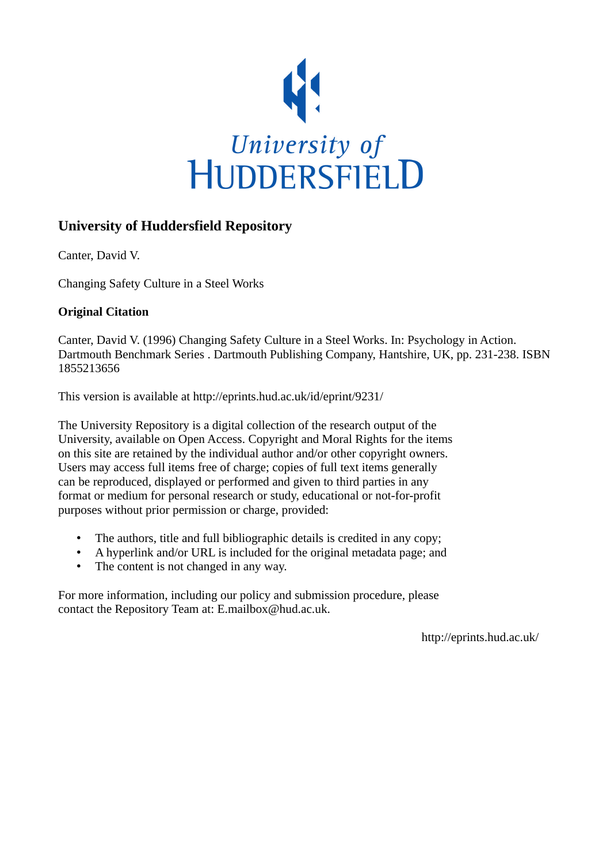

## **University of Huddersfield Repository**

Canter, David V.

Changing Safety Culture in a Steel Works

### **Original Citation**

Canter, David V. (1996) Changing Safety Culture in a Steel Works. In: Psychology in Action. Dartmouth Benchmark Series . Dartmouth Publishing Company, Hantshire, UK, pp. 231-238. ISBN 1855213656

This version is available at http://eprints.hud.ac.uk/id/eprint/9231/

The University Repository is a digital collection of the research output of the University, available on Open Access. Copyright and Moral Rights for the items on this site are retained by the individual author and/or other copyright owners. Users may access full items free of charge; copies of full text items generally can be reproduced, displayed or performed and given to third parties in any format or medium for personal research or study, educational or not-for-profit purposes without prior permission or charge, provided:

- The authors, title and full bibliographic details is credited in any copy;
- A hyperlink and/or URL is included for the original metadata page; and
- The content is not changed in any way.

For more information, including our policy and submission procedure, please contact the Repository Team at: E.mailbox@hud.ac.uk.

http://eprints.hud.ac.uk/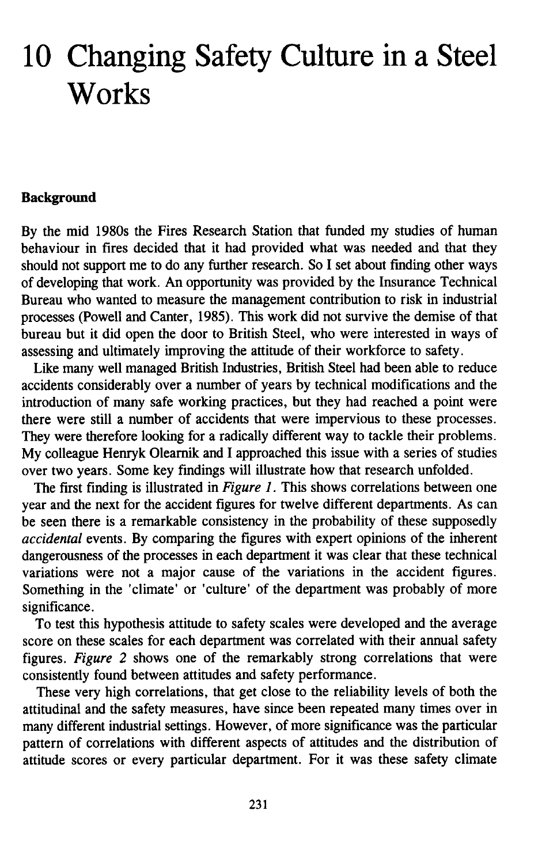# **10 Changing Safety Culture in a Steel Works**

#### **Background**

By the mid 1980s the Fires Research Station that funded my studies of human behaviour in fires decided that it had provided what was needed and that they should not support me to do any further research. So I set about finding other ways of developing that work. An opportunity was provided by the Insurance Technical Bureau who wanted to measure the management contribution to risk in industrial processes (Powell and Canter, 1985). This work did not survive the demise of that bureau but it did open the door to British Steel, who were interested in ways of assessing and ultimately improving the attitude of their workforce to safety.

Like many well managed British Industries, British Steel had been able to reduce accidents considerably over a number of years by technical modifications and the introduction of many safe working practices, but they had reached a point were there were still a number of accidents that were impervious to these processes. They were therefore looking for a radically different way to tackle their problems. My colleague Henryk Olearnik and I approached this issue with a series of studies over two years. Some key findings will illustrate how that research unfolded.

The first finding is illustrated in *Figure* 1. This shows correlations between one year and the next for the accident figures for twelve different departments. As can be seen there is a remarkable consistency in the probability of these supposedly *accidental* events. By comparing the figures with expert opinions of the inherent dangerousness of the processes in each department it was clear that these technical variations were not a major cause of the variations in the accident figures. Something in the 'climate' or 'culture' of the department was probably of more significance.

To test this hypothesis attitude to safety scales were developed and the average score on these scales for each department was correlated with their annual safety figures. *Figure* 2 shows one of the remarkably strong correlations that were consistently found between attitudes and safety performance.

These very high correlations, that get close to the reliability levels of both the attitudinal and the safety measures, have since been repeated many times over in many different industrial settings. However, of more significance was the particular pattern of correlations with different aspects of attitudes and the distribution of attitude scores or every particular department. For it was these safety climate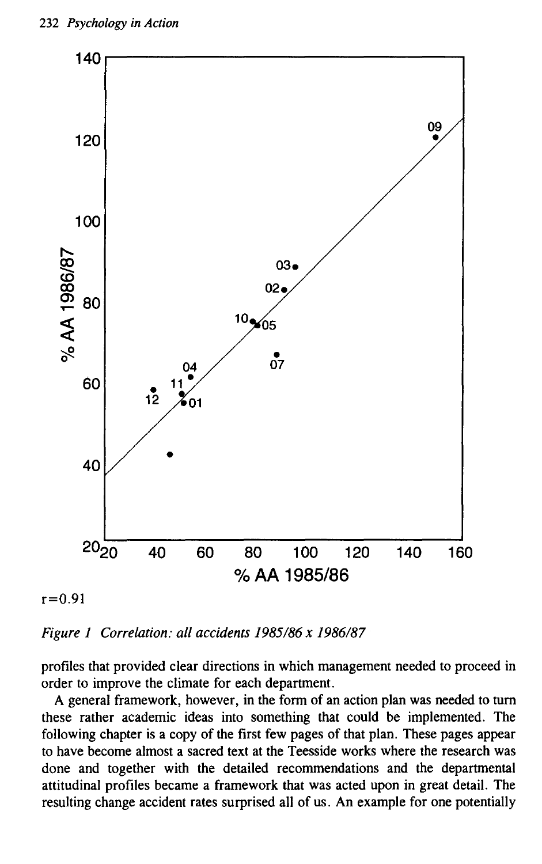

 $r = 0.91$ 

*Figure* 1 *Correlation: all accidents* 1985/86 *x 1986/87*

profiles that provided clear directions in which management needed to proceed in order to improve the climate for each department.

A general framework, however, in the form of an action plan was needed to tum these rather academic ideas into something that could be implemented. The following chapter is a copy of the first few pages of that plan. These pages appear to have become almost a sacred text at the Teesside works where the research was done and together with the detailed recommendations and the departmental attitudinal profiles became a framework that was acted upon in great detail. The resulting change accident rates surprised all of us. An example for one potentially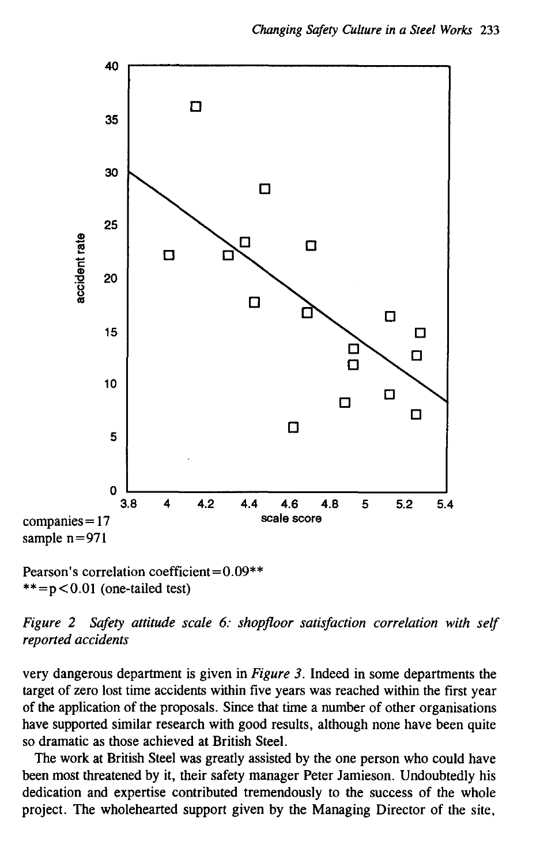

Pearson's correlation coefficient  $= 0.09$ \*\*  $**=p<0.01$  (one-tailed test)

*Figure* 2 *Safety attitude scale* 6: *shopfloor satisfaction correlation with self reported accidents*

very dangerous department is given in *Figure* 3. Indeed in some departments the target of zero lost time accidents within five years was reached within the first year of the application of the proposals. Since that time a number of other organisations have supported similar research with good results, although none have been quite so dramatic as those achieved at British Steel.

The work at British Steel was greatly assisted by the one person who could have been most threatened by it, their safety manager Peter Jamieson. Undoubtedly his dedication and expertise contributed tremendously to the success of the whole project. The wholehearted support given by the Managing Director of the site,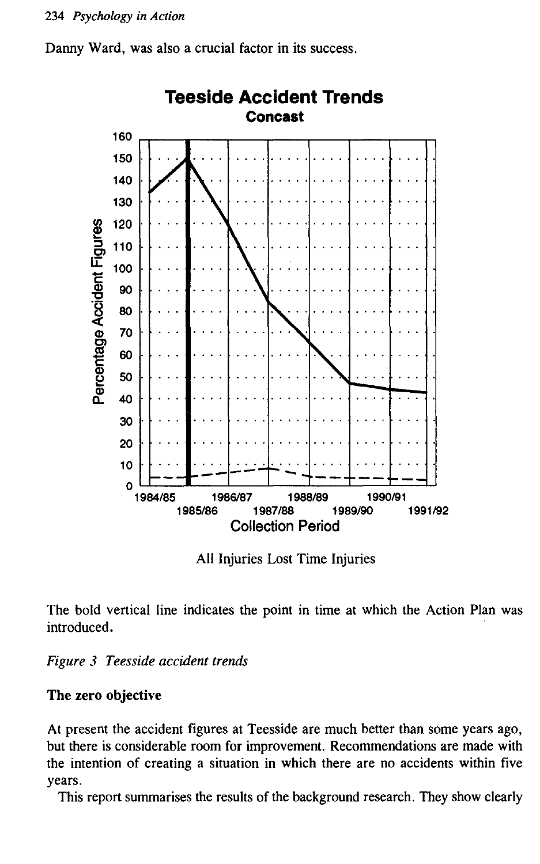



All Injuries Lost Time Injuries

The bold vertical line indicates the point in time at which the Action Plan was introduced.

*Figure* 3 *Teesside accident trends*

#### The zero objective

At present the accident figures at Teesside are much better than some years ago, but there is considerable room for improvement. Recommendations are made with the intention of creating a situation in which there are no accidents within five years.

This report summarises the results of the background research. They show clearly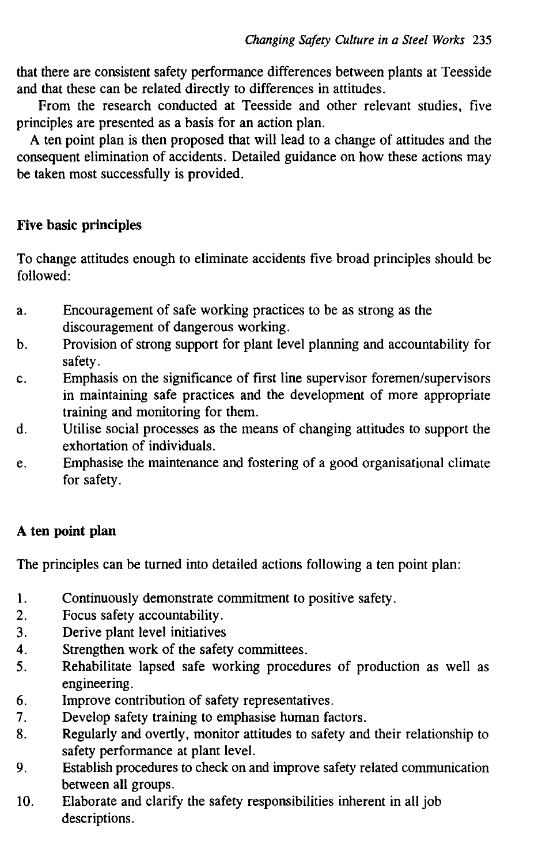that there are consistent safety performance differences between plants at Teesside and that these can be related directly to differences in attitudes.

From the research conducted at Teesside and other relevant studies, five principles are presented as a basis for an action plan.

A ten point plan is then proposed that will lead to a change of attitudes and the consequent elimination of accidents. Detailed guidance on how these actions may be taken most successfully is provided.

#### Five basic principles

To change attitudes enough to eliminate accidents five broad principles should be followed:

- a. Encouragement of safe working practices to be as strong as the discouragement of dangerous working.
- b. Provision of strong support for plant level planning and accountability for safety.
- c. Emphasis on the significance of first line supervisor foremen/supervisors in maintaining safe practices and the development of more appropriate training and monitoring for them.
- d. Utilise social processes as the means of changing attitudes to support the exhortation of individuals.
- e. Emphasise the maintenance and fostering of a good organisational climate for safety.

#### A ten point plan

The principles can be turned into detailed actions following a ten point plan:

- 1. Continuously demonstrate commitment to positive safety.
- 2. Focus safety accountability.
- 3. Derive plant level initiatives
- 4. Strengthen work of the safety committees.
- 5. Rehabilitate lapsed safe working procedures of production as well as engineering.
- 6. Improve contribution of safety representatives.
- 7. Develop safety training to emphasise human factors.
- 8. Regularly and overtly, monitor attitudes to safety and their relationship to safety performance at plant level.
- 9. Establish procedures to check on and improve safety related communication between all groups.
- 10. Elaborate and clarify the safety responsibilities inherent in all job descriptions.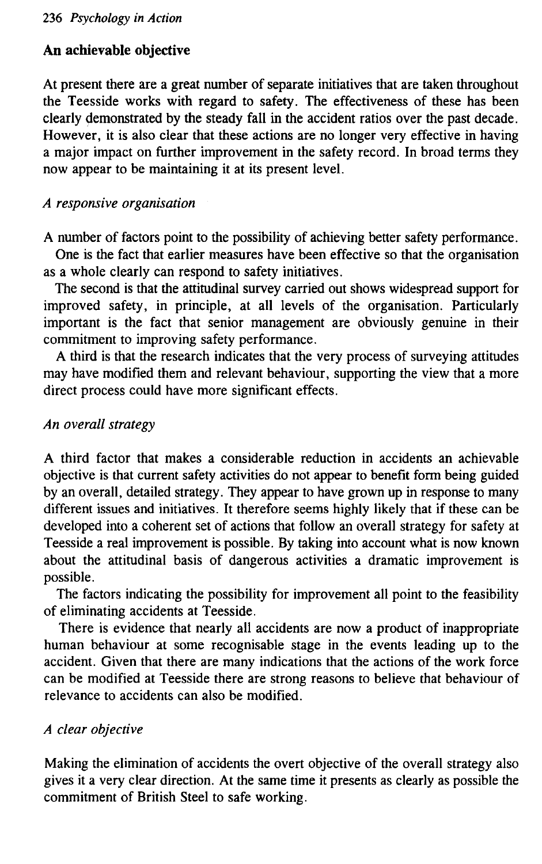#### **An achievable objective**

At present there are a great number of separate initiatives that are taken throughou the Teesside works with regard to safety. The effectiveness of these has been clearly demonstrated by the steady fall in the accident ratios over the past decade. However, it is also clear that these actions are no longer very effective in having a major impact on further improvement in the safety record. In broad terms they now appear to be maintaining it at its present level.

#### *A responsive organisation*

A number of factors point to the possibility of achieving better safety performance.

One is the fact that earlier measures have been effective so that the organisation as a whole clearly can respond to safety initiatives.

The second is that the attitudinal survey carried out shows widespread support for improved safety, in principle, at all levels of the organisation. Particularl important is the fact that senior management are obviously genuine in their commitment to improving safety performance.

A third is that the research indicates that the very process of surveying attitudes may have modified them and relevant behaviour, supporting the view that a more direct process could have more significant effects.

#### *An overall strategy*

A third factor that makes a considerable reduction in accidents an achievable objective is that current safety activities do not appear to benefit form being guided by an overall, detailed strategy. They appear to have grown up in response to many different issues and initiatives. It therefore seems highly likely that if these can be developed into a coherent set of actions that follow an overall strategy for safety at Teesside a real improvement is possible. By taking into account what is now known about the attitudinal basis of dangerous activities a dramatic improvement is possible.

The factors indicating the possibility for improvement all point to the feasibility of eliminating accidents at Teesside.

There is evidence that nearly all accidents are now a product of inappropriat human behaviour at some recognisable stage in the events leading up to the accident. Given that there are many indications that the actions of the work force can be modified at Teesside there are strong reasons to believe that behaviour of relevance to accidents can also be modified.

#### *A clear objective*

Making the elimination of accidents the overt objective of the overall strategy also gives it a very clear direction. At the same time it presents as clearly as possible the commitment of British Steel to safe working.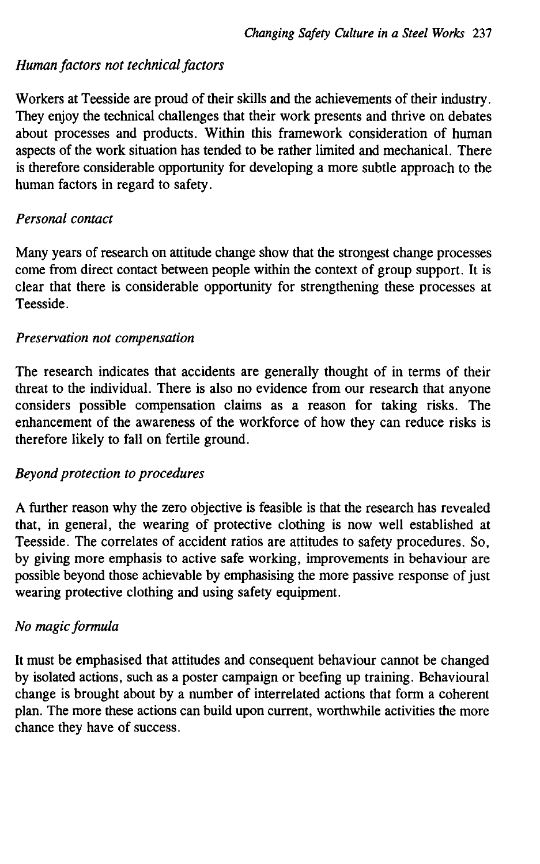#### *Human factors not technical factors*

Workers at Teesside are proud of their skills and the achievements of their industry. They enjoy the technical challenges that their work presents and thrive on debates about processes and products. Within this framework consideration of human aspects of the work situation has tended to be rather limited and mechanical. There is therefore considerable opportunity for developing a more subtle approach to the human factors in regard to safety.

#### *Personal contact*

Many years of research on attitude change show that the strongest change processes come from direct contact between people within the context of group support. It is clear that there is considerable opportunity for strengthening these processes at Teesside.

#### *Preservation not compensation*

The research indicates that accidents are generally thought of in terms of their threat to the individual. There is also no evidence from our research that anyone considers possible compensation claims as a reason for taking risks. The enhancement of the awareness of the workforce of how they can reduce risks is therefore likely to fall on fertile ground.

#### *Beyond protection to procedures*

A further reason why the zero objective is feasible is that the research has revealed that, in general, the wearing of protective clothing is now well established at Teesside. The correlates of accident ratios are attitudes to safety procedures. So, by giving more emphasis to active safe working, improvements in behaviour are possible beyond those achievable by emphasising the more passive response of just wearing protective clothing and using safety equipment.

#### *No magic formula*

It must be emphasised that attitudes and consequent behaviour cannot be changed by isolated actions, such as a poster campaign or beefing up training. Behavioural change is brought about by a number of interrelated actions that form a coherent plan. The more these actions can build upon current, worthwhile activities the more chance they have of success.